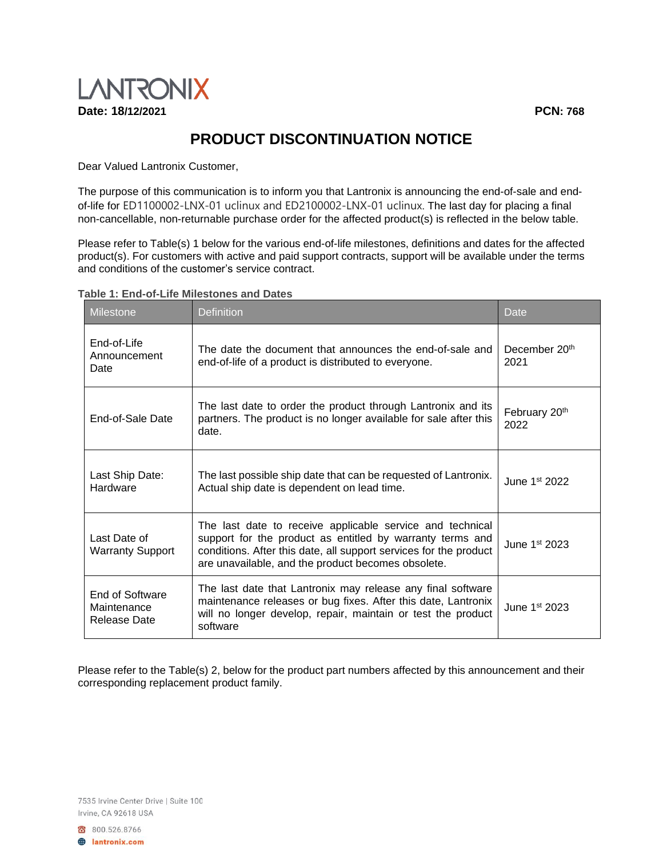

## **PRODUCT DISCONTINUATION NOTICE**

Dear Valued Lantronix Customer,

The purpose of this communication is to inform you that Lantronix is announcing the end-of-sale and endof-life for ED1100002-LNX-01 uclinux and ED2100002-LNX-01 uclinux. The last day for placing a final non-cancellable, non-returnable purchase order for the affected product(s) is reflected in the below table.

Please refer to Table(s) 1 below for the various end-of-life milestones, definitions and dates for the affected product(s). For customers with active and paid support contracts, support will be available under the terms and conditions of the customer's service contract.

| <b>Milestone</b>                               | <b>Definition</b> |                                                                                                                                                                                                                                                   | Date                              |
|------------------------------------------------|-------------------|---------------------------------------------------------------------------------------------------------------------------------------------------------------------------------------------------------------------------------------------------|-----------------------------------|
| End-of-Life<br>Announcement<br>Date            |                   | The date the document that announces the end-of-sale and<br>end-of-life of a product is distributed to everyone.                                                                                                                                  | December 20 <sup>th</sup><br>2021 |
| End-of-Sale Date                               | date.             | The last date to order the product through Lantronix and its<br>partners. The product is no longer available for sale after this                                                                                                                  | February 20th<br>2022             |
| Last Ship Date:<br>Hardware                    |                   | The last possible ship date that can be requested of Lantronix.<br>Actual ship date is dependent on lead time.                                                                                                                                    | June $1st 2022$                   |
| Last Date of<br><b>Warranty Support</b>        |                   | The last date to receive applicable service and technical<br>support for the product as entitled by warranty terms and<br>conditions. After this date, all support services for the product<br>are unavailable, and the product becomes obsolete. | June 1st 2023                     |
| End of Software<br>Maintenance<br>Release Date | software          | The last date that Lantronix may release any final software<br>maintenance releases or bug fixes. After this date, Lantronix<br>will no longer develop, repair, maintain or test the product                                                      | June 1 <sup>st</sup> 2023         |

## **Table 1: End-of-Life Milestones and Dates**

Please refer to the Table(s) 2, below for the product part numbers affected by this announcement and their corresponding replacement product family.

7535 Irvine Center Drive | Suite 100 Irvine, CA 92618 USA

800.526.8766 **A** lantronix.com